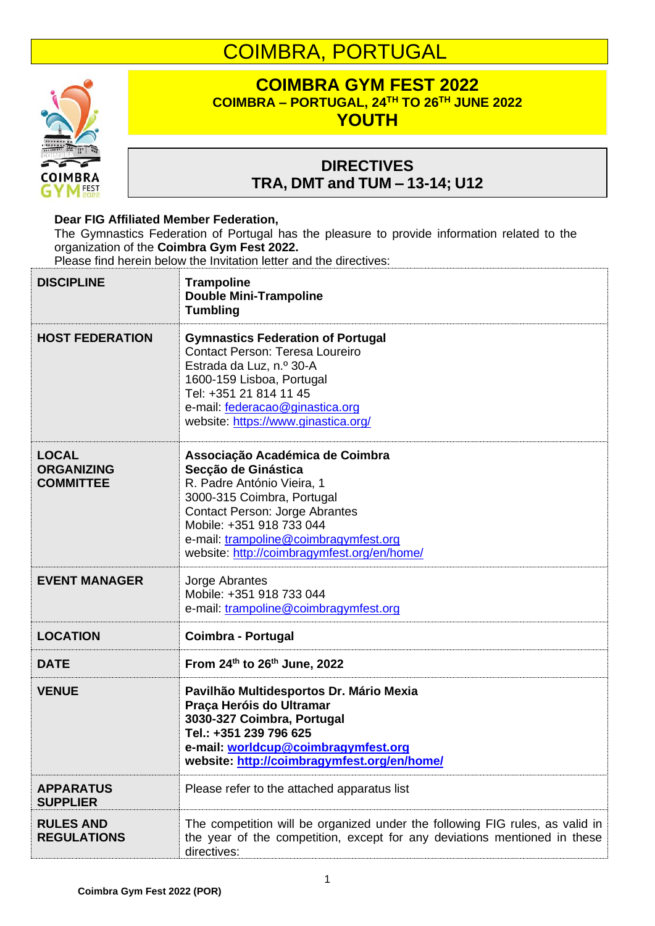## COIMBRA, PORTUGAL



## **COIMBRA GYM FEST 2022 COIMBRA – PORTUGAL, 24 TH TO 26 TH JUNE 2022 YOUTH**

## **DIRECTIVES TRA, DMT and TUM – 13-14; U12**

## **Dear FIG Affiliated Member Federation,**

The Gymnastics Federation of Portugal has the pleasure to provide information related to the organization of the **Coimbra Gym Fest 2022.**

Please find herein below the Invitation letter and the directives:

| <b>DISCIPLINE</b>                                     | <b>Trampoline</b><br><b>Double Mini-Trampoline</b><br><b>Tumbling</b>                                                                                                                                                                                                           |
|-------------------------------------------------------|---------------------------------------------------------------------------------------------------------------------------------------------------------------------------------------------------------------------------------------------------------------------------------|
| <b>HOST FEDERATION</b>                                | <b>Gymnastics Federation of Portugal</b><br><b>Contact Person: Teresa Loureiro</b><br>Estrada da Luz, n.º 30-A<br>1600-159 Lisboa, Portugal<br>Tel: +351 21 814 11 45<br>e-mail: federacao@ginastica.org<br>website: https://www.ginastica.org/                                 |
| <b>LOCAL</b><br><b>ORGANIZING</b><br><b>COMMITTEE</b> | Associação Académica de Coimbra<br>Secção de Ginástica<br>R. Padre António Vieira, 1<br>3000-315 Coimbra, Portugal<br><b>Contact Person: Jorge Abrantes</b><br>Mobile: +351 918 733 044<br>e-mail: trampoline@coimbragymfest.org<br>website: http://coimbragymfest.org/en/home/ |
| <b>EVENT MANAGER</b>                                  | Jorge Abrantes<br>Mobile: +351 918 733 044<br>e-mail: trampoline@coimbragymfest.org                                                                                                                                                                                             |
| <b>LOCATION</b>                                       | <b>Coimbra - Portugal</b>                                                                                                                                                                                                                                                       |
| <b>DATE</b>                                           | From 24th to 26th June, 2022                                                                                                                                                                                                                                                    |
| <b>VENUE</b>                                          | Pavilhão Multidesportos Dr. Mário Mexia<br>Praça Heróis do Ultramar<br>3030-327 Coimbra, Portugal<br>Tel.: +351 239 796 625<br>e-mail: worldcup@coimbragymfest.org<br>website: http://coimbragymfest.org/en/home/                                                               |
| <b>APPARATUS</b><br><b>SUPPLIER</b>                   | Please refer to the attached apparatus list                                                                                                                                                                                                                                     |
| <b>RULES AND</b><br><b>REGULATIONS</b>                | The competition will be organized under the following FIG rules, as valid in<br>the year of the competition, except for any deviations mentioned in these<br>directives:                                                                                                        |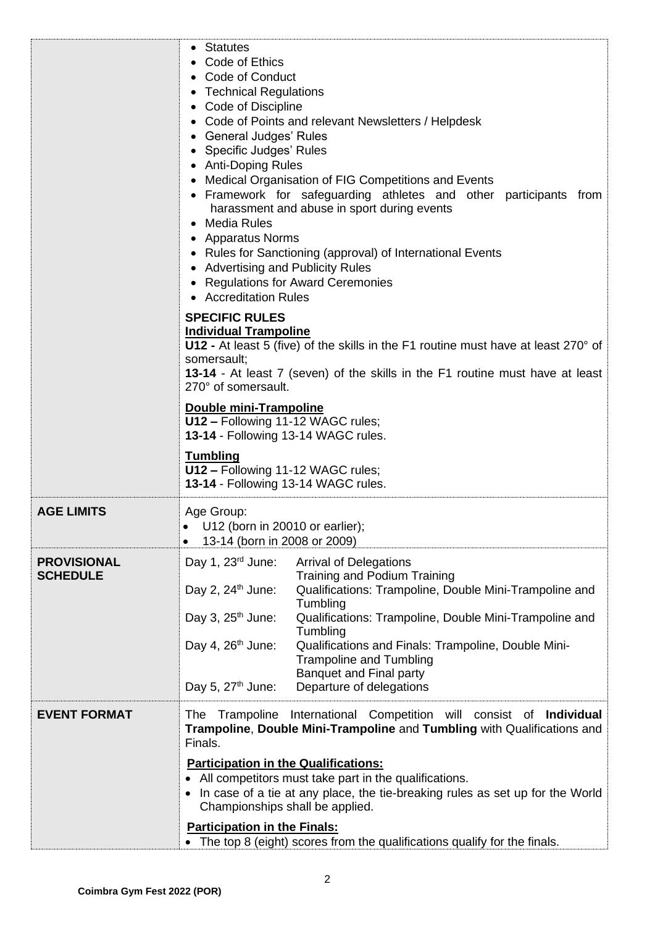|                                       | • Statutes<br>Code of Ethics<br>• Code of Conduct<br>• Technical Regulations<br>• Code of Discipline<br>• Code of Points and relevant Newsletters / Helpdesk<br>• General Judges' Rules<br>• Specific Judges' Rules<br>• Anti-Doping Rules<br>• Medical Organisation of FIG Competitions and Events<br>• Framework for safeguarding athletes and other participants from<br>harassment and abuse in sport during events<br>• Media Rules<br>• Apparatus Norms<br>• Rules for Sanctioning (approval) of International Events<br>• Advertising and Publicity Rules<br>• Regulations for Award Ceremonies<br>• Accreditation Rules<br><b>SPECIFIC RULES</b><br><b>Individual Trampoline</b><br>U12 - At least 5 (five) of the skills in the F1 routine must have at least 270° of<br>somersault;<br>13-14 - At least 7 (seven) of the skills in the F1 routine must have at least<br>270° of somersault.<br>Double mini-Trampoline<br>U12 - Following 11-12 WAGC rules;<br>13-14 - Following 13-14 WAGC rules.<br><b>Tumbling</b><br>U12 - Following 11-12 WAGC rules; |  |  |
|---------------------------------------|---------------------------------------------------------------------------------------------------------------------------------------------------------------------------------------------------------------------------------------------------------------------------------------------------------------------------------------------------------------------------------------------------------------------------------------------------------------------------------------------------------------------------------------------------------------------------------------------------------------------------------------------------------------------------------------------------------------------------------------------------------------------------------------------------------------------------------------------------------------------------------------------------------------------------------------------------------------------------------------------------------------------------------------------------------------------|--|--|
| <b>AGE LIMITS</b>                     | Age Group:<br>$\bullet$ U12 (born in 20010 or earlier);<br>13-14 (born in 2008 or 2009)                                                                                                                                                                                                                                                                                                                                                                                                                                                                                                                                                                                                                                                                                                                                                                                                                                                                                                                                                                             |  |  |
| <b>PROVISIONAL</b><br><b>SCHEDULE</b> | Day 1, $23^{\text{rd}}$ June:<br><b>Arrival of Delegations</b><br><b>Training and Podium Training</b><br>Qualifications: Trampoline, Double Mini-Trampoline and<br>Day 2, $24th$ June:<br>Tumbling<br>Day 3, $25th$ June:<br>Qualifications: Trampoline, Double Mini-Trampoline and<br>Tumbling<br>Day 4, $26th$ June:<br>Qualifications and Finals: Trampoline, Double Mini-<br><b>Trampoline and Tumbling</b><br><b>Banquet and Final party</b><br>Day 5, $27th$ June:<br>Departure of delegations                                                                                                                                                                                                                                                                                                                                                                                                                                                                                                                                                                |  |  |
| <b>EVENT FORMAT</b>                   | The Trampoline International Competition will consist of Individual<br>Trampoline, Double Mini-Trampoline and Tumbling with Qualifications and<br>Finals.<br><b>Participation in the Qualifications:</b><br>All competitors must take part in the qualifications.<br>In case of a tie at any place, the tie-breaking rules as set up for the World<br>Championships shall be applied.<br><b>Participation in the Finals:</b><br>The top 8 (eight) scores from the qualifications qualify for the finals.                                                                                                                                                                                                                                                                                                                                                                                                                                                                                                                                                            |  |  |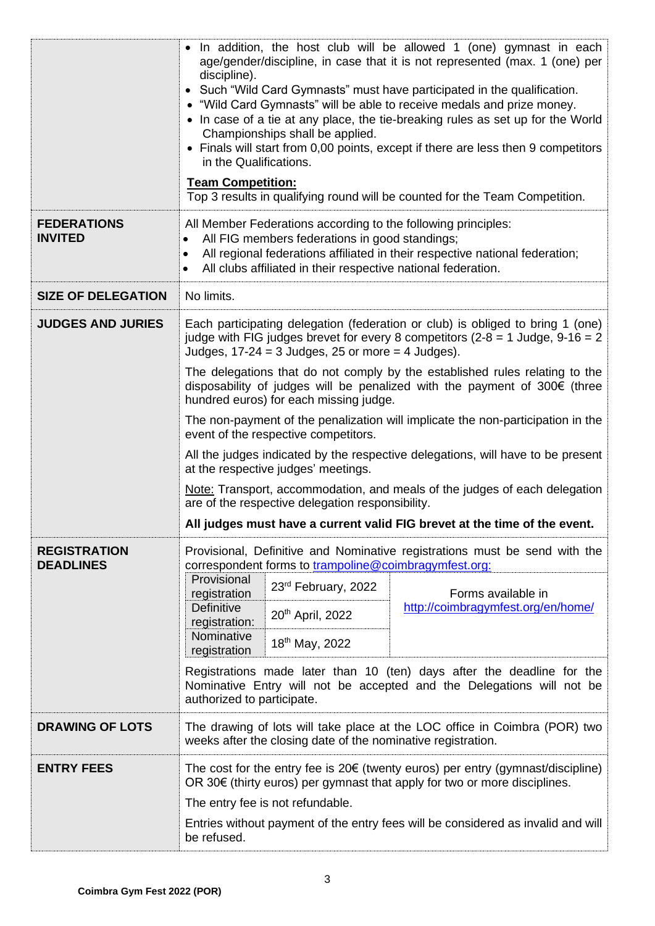|                                         | • In addition, the host club will be allowed 1 (one) gymnast in each<br>age/gender/discipline, in case that it is not represented (max. 1 (one) per<br>discipline).<br>• Such "Wild Card Gymnasts" must have participated in the qualification.<br>• "Wild Card Gymnasts" will be able to receive medals and prize money.<br>• In case of a tie at any place, the tie-breaking rules as set up for the World<br>Championships shall be applied.<br>• Finals will start from 0,00 points, except if there are less then 9 competitors<br>in the Qualifications.<br><b>Team Competition:</b><br>Top 3 results in qualifying round will be counted for the Team Competition. |  |  |  |
|-----------------------------------------|---------------------------------------------------------------------------------------------------------------------------------------------------------------------------------------------------------------------------------------------------------------------------------------------------------------------------------------------------------------------------------------------------------------------------------------------------------------------------------------------------------------------------------------------------------------------------------------------------------------------------------------------------------------------------|--|--|--|
| <b>FEDERATIONS</b><br><b>INVITED</b>    | All Member Federations according to the following principles:<br>All FIG members federations in good standings;<br>$\bullet$<br>All regional federations affiliated in their respective national federation;<br>$\bullet$<br>All clubs affiliated in their respective national federation.                                                                                                                                                                                                                                                                                                                                                                                |  |  |  |
| <b>SIZE OF DELEGATION</b>               | No limits.                                                                                                                                                                                                                                                                                                                                                                                                                                                                                                                                                                                                                                                                |  |  |  |
| <b>JUDGES AND JURIES</b>                | Each participating delegation (federation or club) is obliged to bring 1 (one)<br>judge with FIG judges brevet for every 8 competitors ( $2-8 = 1$ Judge, $9-16 = 2$<br>Judges, $17-24 = 3$ Judges, 25 or more = 4 Judges).                                                                                                                                                                                                                                                                                                                                                                                                                                               |  |  |  |
|                                         | The delegations that do not comply by the established rules relating to the<br>disposability of judges will be penalized with the payment of 300€ (three<br>hundred euros) for each missing judge.                                                                                                                                                                                                                                                                                                                                                                                                                                                                        |  |  |  |
|                                         | The non-payment of the penalization will implicate the non-participation in the<br>event of the respective competitors.                                                                                                                                                                                                                                                                                                                                                                                                                                                                                                                                                   |  |  |  |
|                                         | All the judges indicated by the respective delegations, will have to be present<br>at the respective judges' meetings.                                                                                                                                                                                                                                                                                                                                                                                                                                                                                                                                                    |  |  |  |
|                                         | Note: Transport, accommodation, and meals of the judges of each delegation<br>are of the respective delegation responsibility.                                                                                                                                                                                                                                                                                                                                                                                                                                                                                                                                            |  |  |  |
|                                         | All judges must have a current valid FIG brevet at the time of the event.                                                                                                                                                                                                                                                                                                                                                                                                                                                                                                                                                                                                 |  |  |  |
| <b>REGISTRATION</b><br><b>DEADLINES</b> | Provisional, Definitive and Nominative registrations must be send with the<br>correspondent forms to trampoline@coimbragymfest.org:                                                                                                                                                                                                                                                                                                                                                                                                                                                                                                                                       |  |  |  |
|                                         | Provisional<br>23rd February, 2022<br>Forms available in<br>registration                                                                                                                                                                                                                                                                                                                                                                                                                                                                                                                                                                                                  |  |  |  |
|                                         | http://coimbragymfest.org/en/home/<br><b>Definitive</b><br>20 <sup>th</sup> April, 2022<br>registration:                                                                                                                                                                                                                                                                                                                                                                                                                                                                                                                                                                  |  |  |  |
|                                         | Nominative<br>18 <sup>th</sup> May, 2022<br>registration                                                                                                                                                                                                                                                                                                                                                                                                                                                                                                                                                                                                                  |  |  |  |
|                                         | Registrations made later than 10 (ten) days after the deadline for the<br>Nominative Entry will not be accepted and the Delegations will not be<br>authorized to participate.                                                                                                                                                                                                                                                                                                                                                                                                                                                                                             |  |  |  |
| <b>DRAWING OF LOTS</b>                  | The drawing of lots will take place at the LOC office in Coimbra (POR) two<br>weeks after the closing date of the nominative registration.                                                                                                                                                                                                                                                                                                                                                                                                                                                                                                                                |  |  |  |
| <b>ENTRY FEES</b>                       | The cost for the entry fee is $20 \epsilon$ (twenty euros) per entry (gymnast/discipline)<br>OR $30\notin$ (thirty euros) per gymnast that apply for two or more disciplines.                                                                                                                                                                                                                                                                                                                                                                                                                                                                                             |  |  |  |
|                                         | The entry fee is not refundable.                                                                                                                                                                                                                                                                                                                                                                                                                                                                                                                                                                                                                                          |  |  |  |
|                                         | Entries without payment of the entry fees will be considered as invalid and will<br>be refused.                                                                                                                                                                                                                                                                                                                                                                                                                                                                                                                                                                           |  |  |  |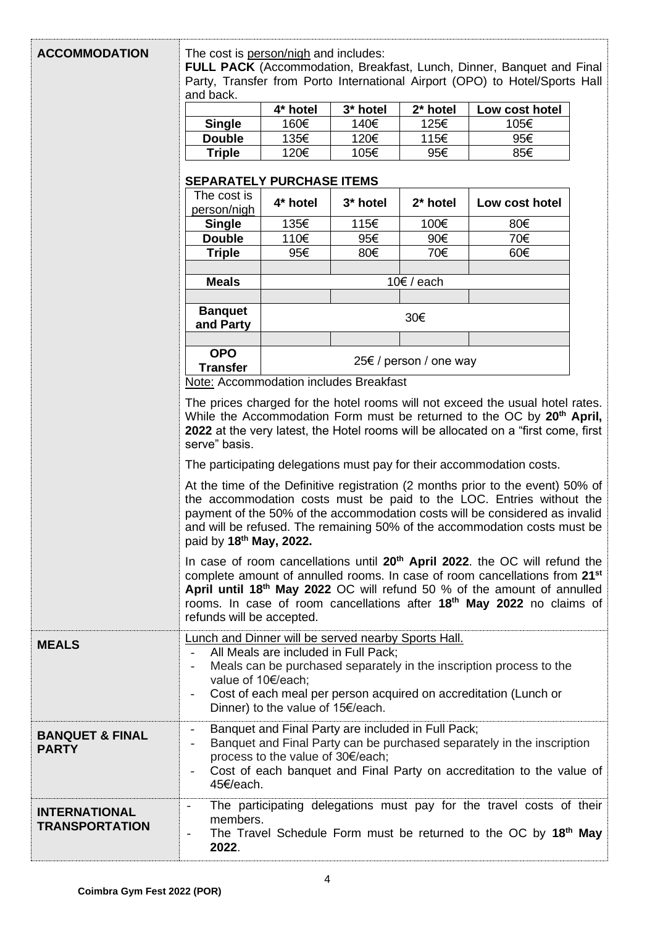| <b>ACCOMMODATION</b>       | The cost is person/nigh and includes:                                                                                                                                                                                                                                                                                                               |                                                                                                                                                                                                                                                                                                                                                               |                                                    |                        |                                                                                                                                                 |  |
|----------------------------|-----------------------------------------------------------------------------------------------------------------------------------------------------------------------------------------------------------------------------------------------------------------------------------------------------------------------------------------------------|---------------------------------------------------------------------------------------------------------------------------------------------------------------------------------------------------------------------------------------------------------------------------------------------------------------------------------------------------------------|----------------------------------------------------|------------------------|-------------------------------------------------------------------------------------------------------------------------------------------------|--|
|                            | <b>FULL PACK</b> (Accommodation, Breakfast, Lunch, Dinner, Banquet and Final                                                                                                                                                                                                                                                                        |                                                                                                                                                                                                                                                                                                                                                               |                                                    |                        |                                                                                                                                                 |  |
|                            | Party, Transfer from Porto International Airport (OPO) to Hotel/Sports Hall<br>and back.                                                                                                                                                                                                                                                            |                                                                                                                                                                                                                                                                                                                                                               |                                                    |                        |                                                                                                                                                 |  |
|                            |                                                                                                                                                                                                                                                                                                                                                     | 4* hotel                                                                                                                                                                                                                                                                                                                                                      | 3* hotel                                           | 2* hotel               | Low cost hotel                                                                                                                                  |  |
|                            | <b>Single</b>                                                                                                                                                                                                                                                                                                                                       | 160€                                                                                                                                                                                                                                                                                                                                                          | 140€                                               | 125€                   | 105€                                                                                                                                            |  |
|                            | <b>Double</b>                                                                                                                                                                                                                                                                                                                                       | 135€                                                                                                                                                                                                                                                                                                                                                          | 120€                                               | 115€                   | 95€                                                                                                                                             |  |
|                            | <b>Triple</b>                                                                                                                                                                                                                                                                                                                                       | 120€                                                                                                                                                                                                                                                                                                                                                          | 105€                                               | 95€                    | 85€                                                                                                                                             |  |
|                            | <b>SEPARATELY PURCHASE ITEMS</b>                                                                                                                                                                                                                                                                                                                    |                                                                                                                                                                                                                                                                                                                                                               |                                                    |                        |                                                                                                                                                 |  |
|                            | The cost is                                                                                                                                                                                                                                                                                                                                         |                                                                                                                                                                                                                                                                                                                                                               |                                                    |                        |                                                                                                                                                 |  |
|                            | person/nigh                                                                                                                                                                                                                                                                                                                                         | 4* hotel                                                                                                                                                                                                                                                                                                                                                      | 3* hotel                                           | 2* hotel               | Low cost hotel                                                                                                                                  |  |
|                            | <b>Single</b>                                                                                                                                                                                                                                                                                                                                       | 135€                                                                                                                                                                                                                                                                                                                                                          | 115€                                               | 100€                   | 80€                                                                                                                                             |  |
|                            | <b>Double</b>                                                                                                                                                                                                                                                                                                                                       | 110€                                                                                                                                                                                                                                                                                                                                                          | 95€                                                | 90€                    | 70€                                                                                                                                             |  |
|                            | <b>Triple</b>                                                                                                                                                                                                                                                                                                                                       | 95€                                                                                                                                                                                                                                                                                                                                                           | 80€                                                | 70€                    | 60€                                                                                                                                             |  |
|                            | <b>Meals</b>                                                                                                                                                                                                                                                                                                                                        |                                                                                                                                                                                                                                                                                                                                                               |                                                    | $10€$ / each           |                                                                                                                                                 |  |
|                            |                                                                                                                                                                                                                                                                                                                                                     |                                                                                                                                                                                                                                                                                                                                                               |                                                    |                        |                                                                                                                                                 |  |
|                            | <b>Banquet</b>                                                                                                                                                                                                                                                                                                                                      |                                                                                                                                                                                                                                                                                                                                                               |                                                    | 30€                    |                                                                                                                                                 |  |
|                            | and Party                                                                                                                                                                                                                                                                                                                                           |                                                                                                                                                                                                                                                                                                                                                               |                                                    |                        |                                                                                                                                                 |  |
|                            | <b>OPO</b>                                                                                                                                                                                                                                                                                                                                          |                                                                                                                                                                                                                                                                                                                                                               |                                                    |                        |                                                                                                                                                 |  |
|                            | <b>Transfer</b>                                                                                                                                                                                                                                                                                                                                     |                                                                                                                                                                                                                                                                                                                                                               |                                                    | 25€ / person / one way |                                                                                                                                                 |  |
|                            | Note: Accommodation includes Breakfast                                                                                                                                                                                                                                                                                                              |                                                                                                                                                                                                                                                                                                                                                               |                                                    |                        |                                                                                                                                                 |  |
|                            | The prices charged for the hotel rooms will not exceed the usual hotel rates.<br>While the Accommodation Form must be returned to the OC by 20 <sup>th</sup> April,<br>2022 at the very latest, the Hotel rooms will be allocated on a "first come, first<br>serve" basis.<br>The participating delegations must pay for their accommodation costs. |                                                                                                                                                                                                                                                                                                                                                               |                                                    |                        |                                                                                                                                                 |  |
|                            |                                                                                                                                                                                                                                                                                                                                                     |                                                                                                                                                                                                                                                                                                                                                               |                                                    |                        |                                                                                                                                                 |  |
|                            |                                                                                                                                                                                                                                                                                                                                                     |                                                                                                                                                                                                                                                                                                                                                               |                                                    |                        |                                                                                                                                                 |  |
|                            |                                                                                                                                                                                                                                                                                                                                                     | At the time of the Definitive registration (2 months prior to the event) 50% of<br>the accommodation costs must be paid to the LOC. Entries without the<br>payment of the 50% of the accommodation costs will be considered as invalid<br>and will be refused. The remaining 50% of the accommodation costs must be<br>paid by 18 <sup>th</sup> May, 2022.    |                                                    |                        |                                                                                                                                                 |  |
|                            | refunds will be accepted.                                                                                                                                                                                                                                                                                                                           | In case of room cancellations until 20 <sup>th</sup> April 2022. the OC will refund the<br>complete amount of annulled rooms. In case of room cancellations from 21 <sup>st</sup><br>April until 18 <sup>th</sup> May 2022 OC will refund 50 % of the amount of annulled<br>rooms. In case of room cancellations after 18 <sup>th</sup> May 2022 no claims of |                                                    |                        |                                                                                                                                                 |  |
| <b>MEALS</b>               |                                                                                                                                                                                                                                                                                                                                                     | <b>Lunch and Dinner will be served nearby Sports Hall.</b><br>All Meals are included in Full Pack;<br>Meals can be purchased separately in the inscription process to the                                                                                                                                                                                     |                                                    |                        |                                                                                                                                                 |  |
|                            | $\overline{\phantom{a}}$                                                                                                                                                                                                                                                                                                                            |                                                                                                                                                                                                                                                                                                                                                               |                                                    |                        |                                                                                                                                                 |  |
|                            | value of 10€/each;                                                                                                                                                                                                                                                                                                                                  |                                                                                                                                                                                                                                                                                                                                                               |                                                    |                        |                                                                                                                                                 |  |
|                            |                                                                                                                                                                                                                                                                                                                                                     | Cost of each meal per person acquired on accreditation (Lunch or                                                                                                                                                                                                                                                                                              |                                                    |                        |                                                                                                                                                 |  |
|                            |                                                                                                                                                                                                                                                                                                                                                     | Dinner) to the value of 15€/each.                                                                                                                                                                                                                                                                                                                             |                                                    |                        |                                                                                                                                                 |  |
| <b>BANQUET &amp; FINAL</b> |                                                                                                                                                                                                                                                                                                                                                     |                                                                                                                                                                                                                                                                                                                                                               | Banquet and Final Party are included in Full Pack; |                        |                                                                                                                                                 |  |
| <b>PARTY</b>               | $\overline{\phantom{a}}$                                                                                                                                                                                                                                                                                                                            | process to the value of 30€/each;                                                                                                                                                                                                                                                                                                                             |                                                    |                        | Banquet and Final Party can be purchased separately in the inscription<br>Cost of each banquet and Final Party on accreditation to the value of |  |
|                            | 45€/each.                                                                                                                                                                                                                                                                                                                                           |                                                                                                                                                                                                                                                                                                                                                               |                                                    |                        |                                                                                                                                                 |  |
| <b>INTERNATIONAL</b>       | $\overline{\phantom{a}}$<br>members.                                                                                                                                                                                                                                                                                                                |                                                                                                                                                                                                                                                                                                                                                               |                                                    |                        | The participating delegations must pay for the travel costs of their                                                                            |  |
| <b>TRANSPORTATION</b>      | $\overline{\phantom{a}}$<br>2022.                                                                                                                                                                                                                                                                                                                   |                                                                                                                                                                                                                                                                                                                                                               |                                                    |                        | The Travel Schedule Form must be returned to the OC by 18th May                                                                                 |  |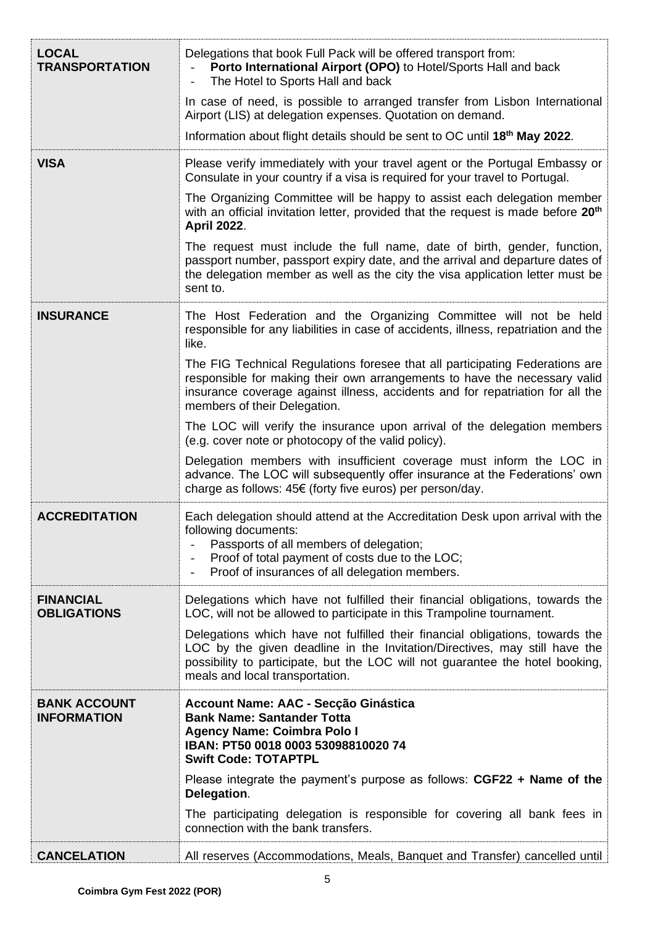| <b>LOCAL</b><br><b>TRANSPORTATION</b>     | Delegations that book Full Pack will be offered transport from:<br>Porto International Airport (OPO) to Hotel/Sports Hall and back<br>The Hotel to Sports Hall and back                                                                                                         |  |  |  |
|-------------------------------------------|---------------------------------------------------------------------------------------------------------------------------------------------------------------------------------------------------------------------------------------------------------------------------------|--|--|--|
|                                           | In case of need, is possible to arranged transfer from Lisbon International<br>Airport (LIS) at delegation expenses. Quotation on demand.                                                                                                                                       |  |  |  |
|                                           | Information about flight details should be sent to OC until 18th May 2022.                                                                                                                                                                                                      |  |  |  |
| <b>VISA</b>                               | Please verify immediately with your travel agent or the Portugal Embassy or<br>Consulate in your country if a visa is required for your travel to Portugal.                                                                                                                     |  |  |  |
|                                           | The Organizing Committee will be happy to assist each delegation member<br>with an official invitation letter, provided that the request is made before 20 <sup>th</sup><br><b>April 2022.</b>                                                                                  |  |  |  |
|                                           | The request must include the full name, date of birth, gender, function,<br>passport number, passport expiry date, and the arrival and departure dates of<br>the delegation member as well as the city the visa application letter must be<br>sent to.                          |  |  |  |
| <b>INSURANCE</b>                          | The Host Federation and the Organizing Committee will not be held<br>responsible for any liabilities in case of accidents, illness, repatriation and the<br>like.                                                                                                               |  |  |  |
|                                           | The FIG Technical Regulations foresee that all participating Federations are<br>responsible for making their own arrangements to have the necessary valid<br>insurance coverage against illness, accidents and for repatriation for all the<br>members of their Delegation.     |  |  |  |
|                                           | The LOC will verify the insurance upon arrival of the delegation members<br>(e.g. cover note or photocopy of the valid policy).                                                                                                                                                 |  |  |  |
|                                           | Delegation members with insufficient coverage must inform the LOC in<br>advance. The LOC will subsequently offer insurance at the Federations' own<br>charge as follows: 45€ (forty five euros) per person/day.                                                                 |  |  |  |
| <b>ACCREDITATION</b>                      | Each delegation should attend at the Accreditation Desk upon arrival with the<br>following documents:<br>Passports of all members of delegation;<br>Proof of total payment of costs due to the LOC;<br>Proof of insurances of all delegation members.                           |  |  |  |
| <b>FINANCIAL</b><br><b>OBLIGATIONS</b>    | Delegations which have not fulfilled their financial obligations, towards the<br>LOC, will not be allowed to participate in this Trampoline tournament.                                                                                                                         |  |  |  |
|                                           | Delegations which have not fulfilled their financial obligations, towards the<br>LOC by the given deadline in the Invitation/Directives, may still have the<br>possibility to participate, but the LOC will not guarantee the hotel booking,<br>meals and local transportation. |  |  |  |
| <b>BANK ACCOUNT</b><br><b>INFORMATION</b> | Account Name: AAC - Secção Ginástica<br><b>Bank Name: Santander Totta</b><br><b>Agency Name: Coimbra Polo I</b><br>IBAN: PT50 0018 0003 53098810020 74<br><b>Swift Code: TOTAPTPL</b>                                                                                           |  |  |  |
|                                           | Please integrate the payment's purpose as follows: CGF22 + Name of the<br>Delegation.                                                                                                                                                                                           |  |  |  |
|                                           | The participating delegation is responsible for covering all bank fees in<br>connection with the bank transfers.                                                                                                                                                                |  |  |  |
| <b>CANCELATION</b>                        | All reserves (Accommodations, Meals, Banquet and Transfer) cancelled until                                                                                                                                                                                                      |  |  |  |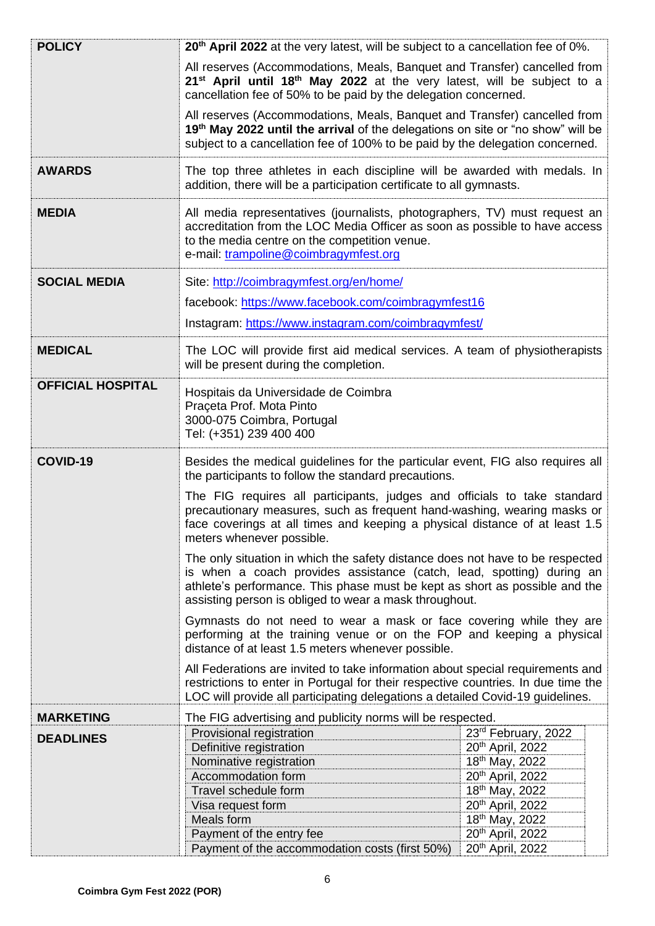| <b>POLICY</b>            | 20 <sup>th</sup> April 2022 at the very latest, will be subject to a cancellation fee of 0%.                                                                                                                                                                                                    |                                    |  |
|--------------------------|-------------------------------------------------------------------------------------------------------------------------------------------------------------------------------------------------------------------------------------------------------------------------------------------------|------------------------------------|--|
|                          | All reserves (Accommodations, Meals, Banquet and Transfer) cancelled from<br>21 <sup>st</sup> April until 18 <sup>th</sup> May 2022 at the very latest, will be subject to a<br>cancellation fee of 50% to be paid by the delegation concerned.                                                 |                                    |  |
|                          | All reserves (Accommodations, Meals, Banquet and Transfer) cancelled from<br>19th May 2022 until the arrival of the delegations on site or "no show" will be<br>subject to a cancellation fee of 100% to be paid by the delegation concerned.                                                   |                                    |  |
| <b>AWARDS</b>            | The top three athletes in each discipline will be awarded with medals. In<br>addition, there will be a participation certificate to all gymnasts.                                                                                                                                               |                                    |  |
| <b>MEDIA</b>             | All media representatives (journalists, photographers, TV) must request an<br>accreditation from the LOC Media Officer as soon as possible to have access<br>to the media centre on the competition venue.<br>e-mail: trampoline@coimbragymfest.org                                             |                                    |  |
| <b>SOCIAL MEDIA</b>      | Site: http://coimbragymfest.org/en/home/                                                                                                                                                                                                                                                        |                                    |  |
|                          | facebook: https://www.facebook.com/coimbragymfest16                                                                                                                                                                                                                                             |                                    |  |
|                          |                                                                                                                                                                                                                                                                                                 |                                    |  |
|                          | Instagram: https://www.instagram.com/coimbragymfest/                                                                                                                                                                                                                                            |                                    |  |
| <b>MEDICAL</b>           | The LOC will provide first aid medical services. A team of physiotherapists<br>will be present during the completion.                                                                                                                                                                           |                                    |  |
| <b>OFFICIAL HOSPITAL</b> | Hospitais da Universidade de Coimbra<br>Praçeta Prof. Mota Pinto<br>3000-075 Coimbra, Portugal<br>Tel: (+351) 239 400 400                                                                                                                                                                       |                                    |  |
| COVID-19                 | Besides the medical guidelines for the particular event, FIG also requires all<br>the participants to follow the standard precautions.                                                                                                                                                          |                                    |  |
|                          |                                                                                                                                                                                                                                                                                                 |                                    |  |
|                          | The FIG requires all participants, judges and officials to take standard<br>precautionary measures, such as frequent hand-washing, wearing masks or<br>face coverings at all times and keeping a physical distance of at least 1.5<br>meters whenever possible.                                 |                                    |  |
|                          | The only situation in which the safety distance does not have to be respected<br>is when a coach provides assistance (catch, lead, spotting) during an<br>athlete's performance. This phase must be kept as short as possible and the<br>assisting person is obliged to wear a mask throughout. |                                    |  |
|                          | Gymnasts do not need to wear a mask or face covering while they are<br>performing at the training venue or on the FOP and keeping a physical<br>distance of at least 1.5 meters whenever possible.                                                                                              |                                    |  |
|                          | All Federations are invited to take information about special requirements and<br>restrictions to enter in Portugal for their respective countries. In due time the<br>LOC will provide all participating delegations a detailed Covid-19 guidelines.                                           |                                    |  |
| <b>MARKETING</b>         | The FIG advertising and publicity norms will be respected.                                                                                                                                                                                                                                      |                                    |  |
|                          | Provisional registration                                                                                                                                                                                                                                                                        | 23rd February, 2022                |  |
| <b>DEADLINES</b>         | Definitive registration                                                                                                                                                                                                                                                                         | 20 <sup>th</sup> April, 2022       |  |
|                          | Nominative registration                                                                                                                                                                                                                                                                         | 18 <sup>th</sup> May, 2022         |  |
|                          | Accommodation form                                                                                                                                                                                                                                                                              | 20th April, 2022                   |  |
|                          | Travel schedule form                                                                                                                                                                                                                                                                            | 18th May, 2022                     |  |
|                          | Visa request form                                                                                                                                                                                                                                                                               | 20th April, 2022                   |  |
|                          | Meals form<br>Payment of the entry fee                                                                                                                                                                                                                                                          | 18th May, 2022<br>20th April, 2022 |  |